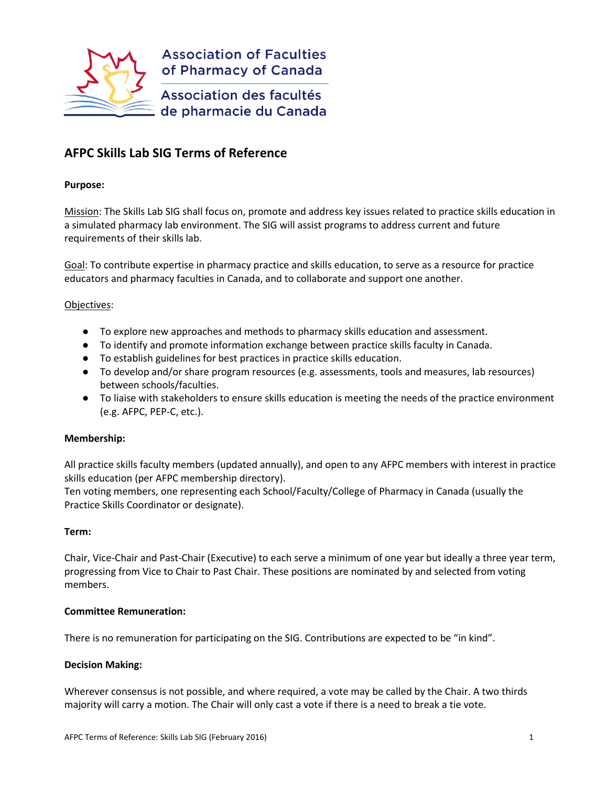

# **AFPC Skills Lab SIG Terms of Reference**

#### **Purpose:**

Mission: The Skills Lab SIG shall focus on, promote and address key issues related to practice skills education in a simulated pharmacy lab environment. The SIG will assist programs to address current and future requirements of their skills lab.

Goal: To contribute expertise in pharmacy practice and skills education, to serve as a resource for practice educators and pharmacy faculties in Canada, and to collaborate and support one another.

#### Objectives:

- To explore new approaches and methods to pharmacy skills education and assessment.
- To identify and promote information exchange between practice skills faculty in Canada.
- To establish guidelines for best practices in practice skills education.
- To develop and/or share program resources (e.g. assessments, tools and measures, lab resources) between schools/faculties.
- To liaise with stakeholders to ensure skills education is meeting the needs of the practice environment (e.g. AFPC, PEP-C, etc.).

### **Membership:**

All practice skills faculty members (updated annually), and open to any AFPC members with interest in practice skills education (per AFPC membership directory).

Ten voting members, one representing each School/Faculty/College of Pharmacy in Canada (usually the Practice Skills Coordinator or designate).

#### **Term:**

Chair, Vice-Chair and Past-Chair (Executive) to each serve a minimum of one year but ideally a three year term, progressing from Vice to Chair to Past Chair. These positions are nominated by and selected from voting members.

### **Committee Remuneration:**

There is no remuneration for participating on the SIG. Contributions are expected to be "in kind".

### **Decision Making:**

Wherever consensus is not possible, and where required, a vote may be called by the Chair. A two thirds majority will carry a motion. The Chair will only cast a vote if there is a need to break a tie vote.